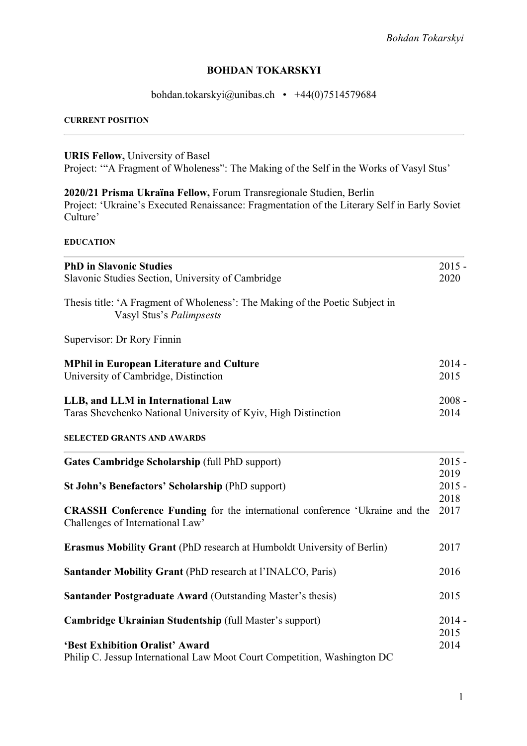# **BOHDAN TOKARSKYI**

# bohdan.tokarskyi@unibas.ch • +44(0)7514579684

#### **CURRENT POSITION**

**URIS Fellow,** University of Basel

Project: '"A Fragment of Wholeness": The Making of the Self in the Works of Vasyl Stus'

# **2020/21 Prisma Ukraїna Fellow,** Forum Transregionale Studien, Berlin

Project: 'Ukraine's Executed Renaissance: Fragmentation of the Literary Self in Early Soviet Culture'

## **EDUCATION**

| <b>PhD in Slavonic Studies</b>                                                                                         | $2015 -$         |
|------------------------------------------------------------------------------------------------------------------------|------------------|
| Slavonic Studies Section, University of Cambridge                                                                      | 2020             |
| Thesis title: 'A Fragment of Wholeness': The Making of the Poetic Subject in<br>Vasyl Stus's Palimpsests               |                  |
| Supervisor: Dr Rory Finnin                                                                                             |                  |
| <b>MPhil in European Literature and Culture</b>                                                                        | $2014 -$         |
| University of Cambridge, Distinction                                                                                   | 2015             |
| LLB, and LLM in International Law                                                                                      | $2008 -$         |
| Taras Shevchenko National University of Kyiv, High Distinction                                                         | 2014             |
| <b>SELECTED GRANTS AND AWARDS</b>                                                                                      |                  |
| Gates Cambridge Scholarship (full PhD support)                                                                         | $2015 -$         |
| St John's Benefactors' Scholarship (PhD support)                                                                       | 2019<br>$2015 -$ |
|                                                                                                                        | 2018             |
| <b>CRASSH Conference Funding</b> for the international conference 'Ukraine and the<br>Challenges of International Law' | 2017             |
| <b>Erasmus Mobility Grant (PhD research at Humboldt University of Berlin)</b>                                          | 2017             |
| <b>Santander Mobility Grant (PhD research at l'INALCO, Paris)</b>                                                      | 2016             |
| <b>Santander Postgraduate Award (Outstanding Master's thesis)</b>                                                      | 2015             |
| Cambridge Ukrainian Studentship (full Master's support)                                                                | $2014 -$         |
|                                                                                                                        | 2015             |
| 'Best Exhibition Oralist' Award                                                                                        | 2014             |
| Philip C. Jessup International Law Moot Court Competition, Washington DC                                               |                  |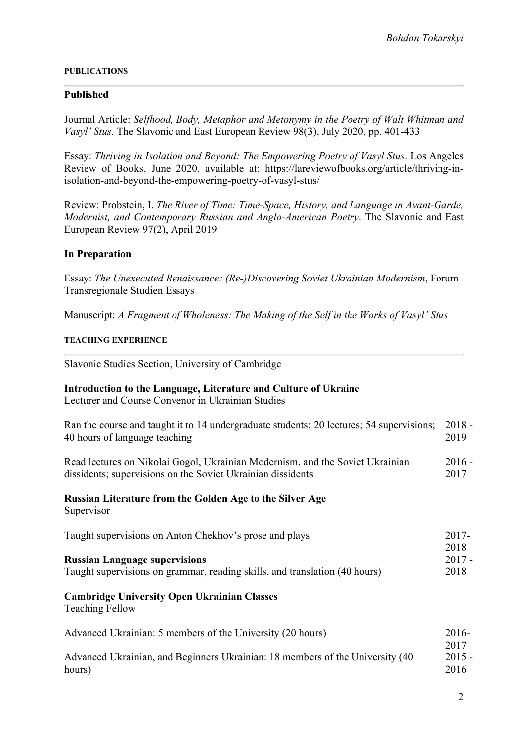#### **PUBLICATIONS**

## **Published**

Journal Article: *Selfhood, Body, Metaphor and Metonymy in the Poetry of Walt Whitman and Vasyl' Stus*. The Slavonic and East European Review 98(3), July 2020, pp. 401-433

Essay: *Thriving in Isolation and Beyond: The Empowering Poetry of Vasyl Stus*. Los Angeles Review of Books, June 2020, available at: https://lareviewofbooks.org/article/thriving-inisolation-and-beyond-the-empowering-poetry-of-vasyl-stus/

Review: Probstein, I. *The River of Time: Time-Space, History, and Language in Avant-Garde, Modernist, and Contemporary Russian and Anglo-American Poetry*. The Slavonic and East European Review 97(2), April 2019

## **In Preparation**

Essay: *The Unexecuted Renaissance: (Re-)Discovering Soviet Ukrainian Modernism*, Forum Transregionale Studien Essays

Manuscript: *A Fragment of Wholeness: The Making of the Self in the Works of Vasyl' Stus*

### **TEACHING EXPERIENCE**

Slavonic Studies Section, University of Cambridge

#### **Introduction to the Language, Literature and Culture of Ukraine**  Lecturer and Course Convenor in Ukrainian Studies

| Ran the course and taught it to 14 undergraduate students: 20 lectures; 54 supervisions;<br>40 hours of language teaching                    | $2018 -$<br>2019 |
|----------------------------------------------------------------------------------------------------------------------------------------------|------------------|
| Read lectures on Nikolai Gogol, Ukrainian Modernism, and the Soviet Ukrainian<br>dissidents; supervisions on the Soviet Ukrainian dissidents | $2016 -$<br>2017 |
| Russian Literature from the Golden Age to the Silver Age<br>Supervisor                                                                       |                  |
| Taught supervisions on Anton Chekhov's prose and plays                                                                                       | $2017 -$<br>2018 |
| <b>Russian Language supervisions</b>                                                                                                         | $2017 -$         |
| Taught supervisions on grammar, reading skills, and translation (40 hours)                                                                   | 2018             |
| <b>Cambridge University Open Ukrainian Classes</b><br><b>Teaching Fellow</b>                                                                 |                  |
| Advanced Ukrainian: 5 members of the University (20 hours)                                                                                   | $2016-$          |
|                                                                                                                                              | 2017             |
| Advanced Ukrainian, and Beginners Ukrainian: 18 members of the University (40                                                                | $2015 -$         |
| hours)                                                                                                                                       | 2016             |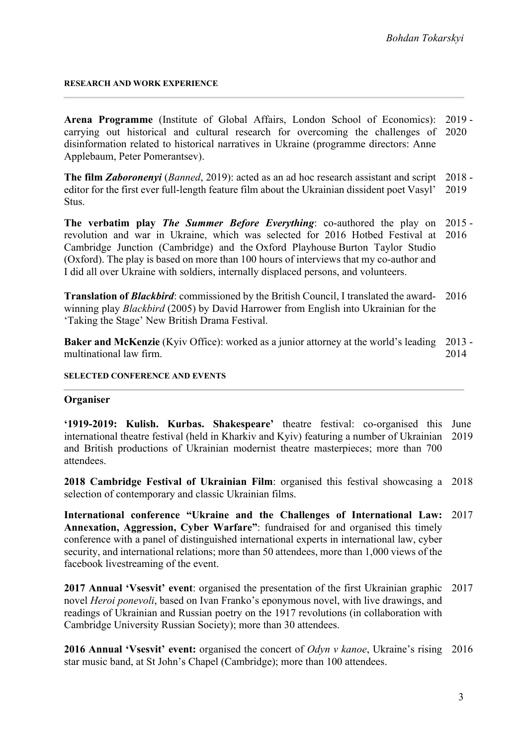#### **RESEARCH AND WORK EXPERIENCE**

**Arena Programme** (Institute of Global Affairs, London School of Economics): carrying out historical and cultural research for overcoming the challenges of 2020 disinformation related to historical narratives in Ukraine (programme directors: Anne Applebaum, Peter Pomerantsev). 2019 -

**The film** *Zaboronenyi* (*Banned*, 2019): acted as an ad hoc research assistant and script 2018 editor for the first ever full-length feature film about the Ukrainian dissident poet Vasyl' Stus. 2019

**The verbatim play** *The Summer Before Everything*: co-authored the play on 2015 revolution and war in Ukraine, which was selected for 2016 Hotbed Festival at 2016 Cambridge Junction (Cambridge) and the Oxford Playhouse Burton Taylor Studio (Oxford). The play is based on more than 100 hours of interviews that my co-author and I did all over Ukraine with soldiers, internally displaced persons, and volunteers.

**Translation of** *Blackbird*: commissioned by the British Council, I translated the award-2016 winning play *Blackbird* (2005) by David Harrower from English into Ukrainian for the 'Taking the Stage' New British Drama Festival.

Baker and McKenzie (Kyiv Office): worked as a junior attorney at the world's leading 2013 multinational law firm. 2014

#### **SELECTED CONFERENCE AND EVENTS**

### **Organiser**

**'1919-2019: Kulish. Kurbas. Shakespeare'** theatre festival: co-organised this June international theatre festival (held in Kharkiv and Kyiv) featuring a number of Ukrainian 2019 and British productions of Ukrainian modernist theatre masterpieces; more than 700 attendees.

**2018 Cambridge Festival of Ukrainian Film**: organised this festival showcasing a 2018 selection of contemporary and classic Ukrainian films.

**International conference "Ukraine and the Challenges of International Law:**  2017 **Annexation, Aggression, Cyber Warfare"**: fundraised for and organised this timely conference with a panel of distinguished international experts in international law, cyber security, and international relations; more than 50 attendees, more than 1,000 views of the facebook livestreaming of the event.

**2017 Annual 'Vsesvit' event**: organised the presentation of the first Ukrainian graphic 2017 novel *Heroi ponevoli*, based on Ivan Franko's eponymous novel, with live drawings, and readings of Ukrainian and Russian poetry on the 1917 revolutions (in collaboration with Cambridge University Russian Society); more than 30 attendees.

**2016 Annual 'Vsesvit' event:** organised the concert of *Odyn v kanoe*, Ukraine's rising 2016star music band, at St John's Chapel (Cambridge); more than 100 attendees.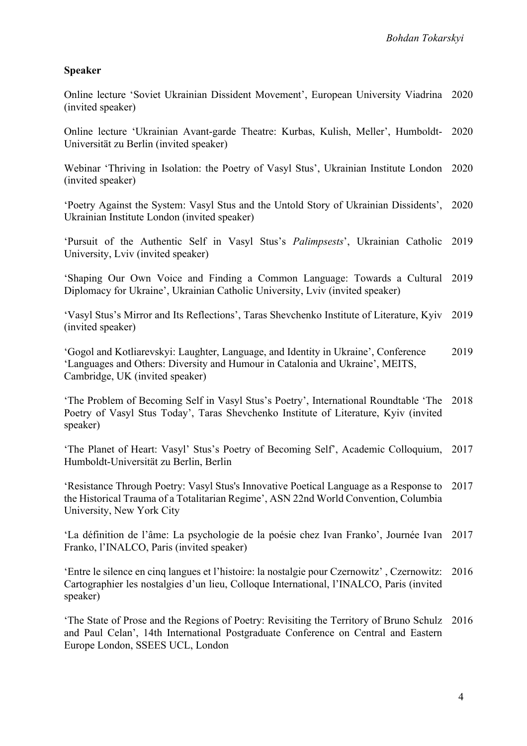# **Speaker**

Online lecture 'Soviet Ukrainian Dissident Movement', European University Viadrina 2020 (invited speaker)

Online lecture 'Ukrainian Avant-garde Theatre: Kurbas, Kulish, Meller', Humboldt-2020 Universität zu Berlin (invited speaker)

Webinar 'Thriving in Isolation: the Poetry of Vasyl Stus', Ukrainian Institute London 2020 (invited speaker)

'Poetry Against the System: Vasyl Stus and the Untold Story of Ukrainian Dissidents', 2020 Ukrainian Institute London (invited speaker)

'Pursuit of the Authentic Self in Vasyl Stus's *Palimpsests*', Ukrainian Catholic 2019 University, Lviv (invited speaker)

'Shaping Our Own Voice and Finding a Common Language: Towards a Cultural 2019 Diplomacy for Ukraine', Ukrainian Catholic University, Lviv (invited speaker)

'Vasyl Stus's Mirror and Its Reflections', Taras Shevchenko Institute of Literature, Kyiv 2019 (invited speaker)

'Gogol and Kotliarevskyi: Laughter, Language, and Identity in Ukraine', Conference 'Languages and Others: Diversity and Humour in Catalonia and Ukraine', MEITS, Cambridge, UK (invited speaker) 2019

'The Problem of Becoming Self in Vasyl Stus's Poetry', International Roundtable 'The 2018 Poetry of Vasyl Stus Today', Taras Shevchenko Institute of Literature, Kyiv (invited speaker)

'The Planet of Heart: Vasyl' Stus's Poetry of Becoming Self', Academic Colloquium, 2017 Humboldt-Universität zu Berlin, Berlin

'Resistance Through Poetry: Vasyl Stus's Innovative Poetical Language as a Response to 2017 the Historical Trauma of a Totalitarian Regime', ASN 22nd World Convention, Columbia University, New York City

'La définition de l'âme: La psychologie de la poésie chez Ivan Franko', Journée Ivan 2017 Franko, l'INALCO, Paris (invited speaker)

'Entre le silence en cinq langues et l'histoire: la nostalgie pour Czernowitz' , Czernowitz: 2016 Cartographier les nostalgies d'un lieu, Colloque International, l'INALCO, Paris (invited speaker)

'The State of Prose and the Regions of Poetry: Revisiting the Territory of Bruno Schulz 2016and Paul Celan', 14th International Postgraduate Conference on Central and Eastern Europe London, SSEES UCL, London